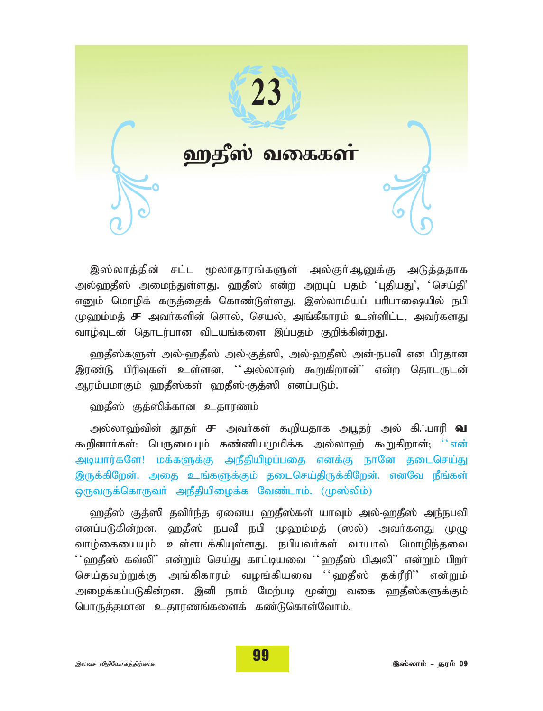

இஸ்லாத்தின் சட்ட மூலாதாரங்களுள் அல்குர்ஆனுக்கு அடுத்ததாக அல்ஹதீஸ் அமைந்துள்ளது. ஹதீஸ் என்ற அறபுப் பதம் 'புதியது', 'செய்தி' எனும் மொழிக் கருத்தைக் கொண்டுள்ளது. இஸ்லாமியப் பரிபாஷையில் நபி  $\mu$ ஹம்மத் **சு** அவர்களின் சொல், செயல், அங்கீகாரம் உள்ளிட்ட, அவர்களது வாழ்வுடன் தொடர்பான விடயங்களை இப்பதம் குறிக்கின்றது.

ஹதீஸ்களுள் அல்-ஹதீஸ் அல்-குத்ஸி, அல்-ஹதீஸ் அன்-நபவி என பிரதான இரண்டு பிரிவுகள் உள்ளன. ''அல்லாஹ் கூறுகிறான்'' என்ற தொடருடன் ஆரம்பமாகும் ஹதீஸ்கள் ஹதீஸ்-குத்ஸி எனப்படும்.

ஹதீஸ் குத்ஸிக்கான உதாரணம்

அல்லாஹ்வின் தூதா் **சு** அவா்கள் கூறியதாக அபூதர் அல் கி. பாரி **வ** கூறினார்கள்: பெருமையும் கண்ணியமுமிக்க அல்லாஹ் கூறுகிறான்; ''என் அடியார்களே! மக்களுக்கு அநீதியிழப்பகை எனக்கு நானே தடைசெய்து இருக்கிறேன். அதை உங்களுக்கும் தடைசெய்திருக்கிறேன். எனவே நீங்கள் ஒருவருக்கொருவா் அநீதியிழைக்க வேண்டாம். (முஸ்லிம்)

ஹதீஸ் குத்ஸி தவிர்ந்த ஏனைய ஹதீஸ்கள் யாவும் அல்-ஹதீஸ் அந்நபவி எனப்படுகின்றன. ஹதீஸ் நபவீ நபி முஹம்மத் (ஸல்) அவர்களது முழு வாழ்கையையும் உள்ளடக்கியுள்ளது. நபியவர்கள் வாயால் மொழிந்தவை  $^{\prime}$ ்ஹதீஸ் கவ்லி" என்றும் செய்து காட்டியவை ''ஹதீஸ் பிஅலி" என்றும் பிறா் செய்தவற்றுக்கு அங்கிகாரம் வழங்கியவை ''ஹதீஸ் தக்ரீரி'' என்றும் அழைக்கப்படுகின்றன. இனி நாம் மேற்படி மூன்று வகை ஹதீஸ்களுக்கும் பொருத்தமான உதாரணங்களைக் கண்டுகொள்வோம்.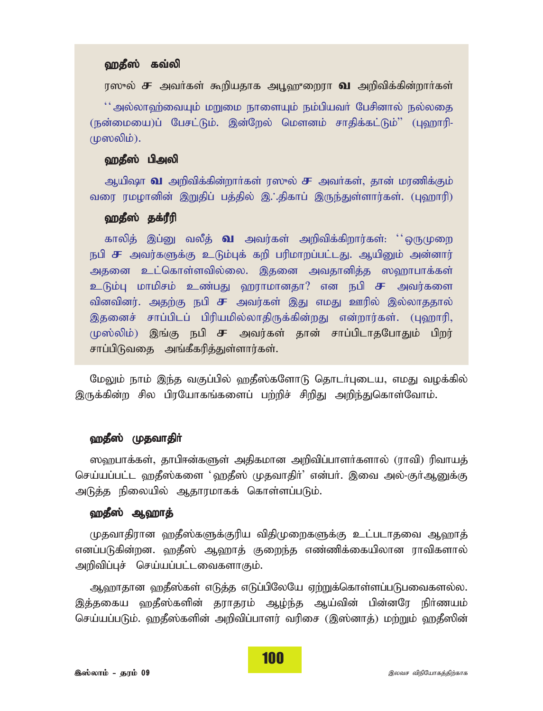### ஹதீஸ் கவ்லி

*u]\_y;* r *mtHfs; \$wpajhf mG+`{iwuh* t *mwptpf;fpd;whHfs;*

 $^{\prime\prime}$ அல்லாஹ்வையும் மறுமை நாளையும் நம்பியவர் பேசினால் நல்லதை (நன்மையை)ப் பேசட்டும். இன்றேல் மௌனம் சாதிக்கட்டும்" (புஹாரி-*K]ypk;).*

#### ஹதீஸ் பிஅலி

*Map\h* t *mwptpf;fpd;whHfs; u]\_y;* r *mtHfs;> jhd; kuzpf;Fk;* வரை ரமழானின் இறுதிப் பத்தில் இ∴்திகாப் இருந்துள்ளார்கள். (புஹாரி)

## ஹதீஸ் தக்ரீரி

காலித் இப்னு வலீத் **வ** அவர்கள் அறிவிக்கிறார்கள்: ''ஒருமுறை நபி **சு** அவர்களுக்கு உடும்புக் கறி பரிமாறப்பட்டது. ஆயினும் அன்னார் அதனை உட்கொள்ளவில்லை. இதனை அவதானித்த ஸஹாபாக்கள்  $\underline{\text{o}}$ டும்பு மாமிசம் உண்பது ஹராமானதா? என நபி **சு** அவர்களை வினவினர். அதற்கு நபி **சு** அவர்கள் இது எமது ஊரில் இல்லாததால் இதனைச் சாப்பிடப் பிரியமில்லாதிருக்கின்றது என்றார்கள். (புஹாரி, *K];ypk;) ,q;F egp* r *mtu;fs; jhd; rhg;gplhjNghJk; gpwu;* சாப்பிடுவதை அங்கீகரித்துள்ளார்கள்.

மேலும் நாம் இந்த வகுப்பில் ஹதீஸ்களோடு தொடர்புடைய, எமது வழக்கில் இருக்கின்ற சில பிரயோகங்களைப் பற்றிச் சிறிது அறிந்துகொள்வோம்.

#### ஹதீஸ் முதவாதிர்

ஸ்ஹபாக்கள், தாபிஈன்களுள் அதிகமான அறிவிப்பாளர்களால் (ராவி) ரிவாயத் செய்யப்பட்ட **ஹதீஸ்களை 'ஹதீஸ் முதவாகிர்' என்பர். இவை அல்-குர்ஆ**னுக்கு அடுத்த நிலையில் ஆதாரமாகக் கொள்ளப்படும்.

#### ஹதீஸ் ஆஹாத்

*Kjthjpuhd `jP];fSf;Fupa tpjpKiwfSf;F cl;glhjit M`hj; vdg;gLfpd;wd. `jP]; M`hj; Fiwe;j vz;zpf;ifapyhd uhtpfshy;* அறிவிப்புச் செய்யப்பட்டவைகளாகும்.

ஆஹாதான ஹதீஸ்கள் எடுத்த எடுப்பிலேயே ஏற்றுக்கொள்ளப்படுபவைகளல்ல. *,j;jifa `jP];fspd; juhjuk; Mo;e;j Ma;tpd; gpd;dNu epHzak;* செய்யப்படும். ஹதீஸ்களின் அறிவிப்பாளர் வரிசை (இஸ்னாத்) மற்றும் ஹதீஸின்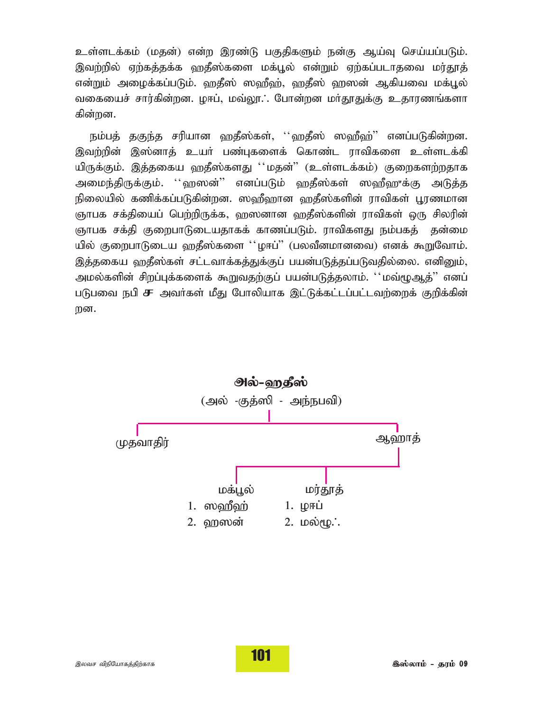உள்ளடக்கம் (மதன்) என்ற இரண்டு பகுதிகளும் நன்கு ஆய்வு செய்யப்படும். இவற்றில் ஏற்கத்தக்க ஹதீஸ்களை மக்பூல் என்றும் ஏற்கப்படாதவை மர்தூத் என்றும் அழைக்கப்படும். ஹதீஸ் ஸஹீஹ், ஹதீஸ் ஹஸன் ஆகியவை மக்பூல் வகையைச் சார்கின்றன. ழஈப், மவ்லூ.: போன்றன மா்தூதுக்கு உதாரணங்களா கின்றன.

நம்பத் தகுந்த சரியான ஹதீஸ்கள், ''ஹதீஸ் ஸஹீஹ்'' எனப்படுகின்றன. இவற்றின் இஸ்னாத் உயர் பண்புகளைக் கொண்ட ராவிகளை உள்ளடக்கி யிருக்கும். இத்தகைய ஹதீஸ்களது ''மதன்" (உள்ளடக்கம்) குறைகளற்றதாக அமைந்திருக்கும். ''ஹஸன்'' எனப்படும் ஹதீஸ்கள் ஸஹீஹுக்கு அடுத்த நிலையில் கணிக்கப்படுகின்றன. ஸஹீஹான ஹகீஸ்களின் ராவிகள் பூரணமான ஞாபக சக்தியைப் பெற்றிருக்க, ஹஸனான ஹதீஸ்களின் ராவிகள் ஒரு சிலரின் ஞாபக சக்தி குறைபாடுடையதாகக் காணப்படும். ராவிகளது நம்பகத் தன்மை யில் குறைபாடுடைய ஹதீஸ்களை ''ழஈப்" (பலவீனமானவை) எனக் கூறுவோம். இத்தகைய ஹதீஸ்கள் சட்டவாக்கத்துக்குப் பயன்படுத்தப்படுவதில்லை. எனினும், அமல்களின் சிறப்புக்களைக் கூறுவதற்குப் பயன்படுத்தலாம். ''மவ்மூஆத்'' எனப் படுபவை நபி சு அவர்கள் மீது போலியாக இட்டுக்கட்டப்பட்டவற்றைக் குறிக்கின் றன.